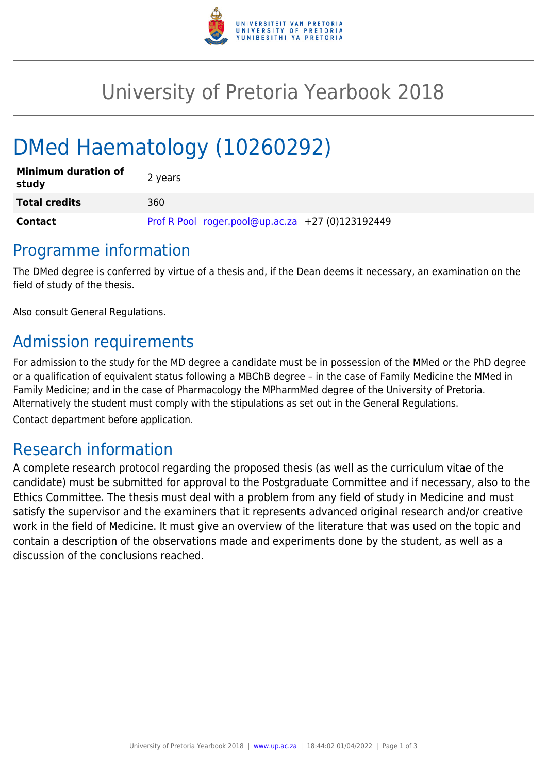

## University of Pretoria Yearbook 2018

# DMed Haematology (10260292)

| <b>Minimum duration of</b><br>study | 2 years                                          |
|-------------------------------------|--------------------------------------------------|
| <b>Total credits</b>                | 360                                              |
| Contact                             | Prof R Pool roger.pool@up.ac.za +27 (0)123192449 |

#### Programme information

The DMed degree is conferred by virtue of a thesis and, if the Dean deems it necessary, an examination on the field of study of the thesis.

Also consult General Regulations.

## Admission requirements

For admission to the study for the MD degree a candidate must be in possession of the MMed or the PhD degree or a qualification of equivalent status following a MBChB degree – in the case of Family Medicine the MMed in Family Medicine; and in the case of Pharmacology the MPharmMed degree of the University of Pretoria. Alternatively the student must comply with the stipulations as set out in the General Regulations.

Contact department before application.

#### Research information

A complete research protocol regarding the proposed thesis (as well as the curriculum vitae of the candidate) must be submitted for approval to the Postgraduate Committee and if necessary, also to the Ethics Committee. The thesis must deal with a problem from any field of study in Medicine and must satisfy the supervisor and the examiners that it represents advanced original research and/or creative work in the field of Medicine. It must give an overview of the literature that was used on the topic and contain a description of the observations made and experiments done by the student, as well as a discussion of the conclusions reached.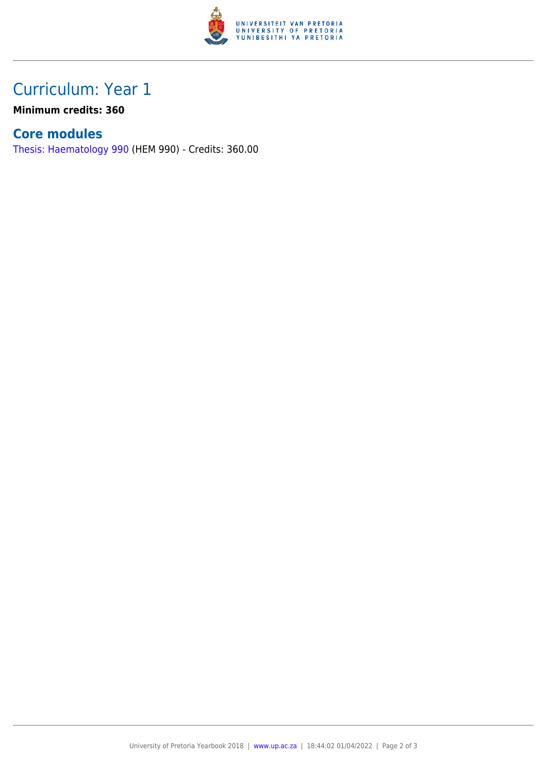

### Curriculum: Year 1

**Minimum credits: 360**

#### **Core modules**

[Thesis: Haematology 990](https://www.up.ac.za/yearbooks/2018/modules/view/HEM 990) (HEM 990) - Credits: 360.00